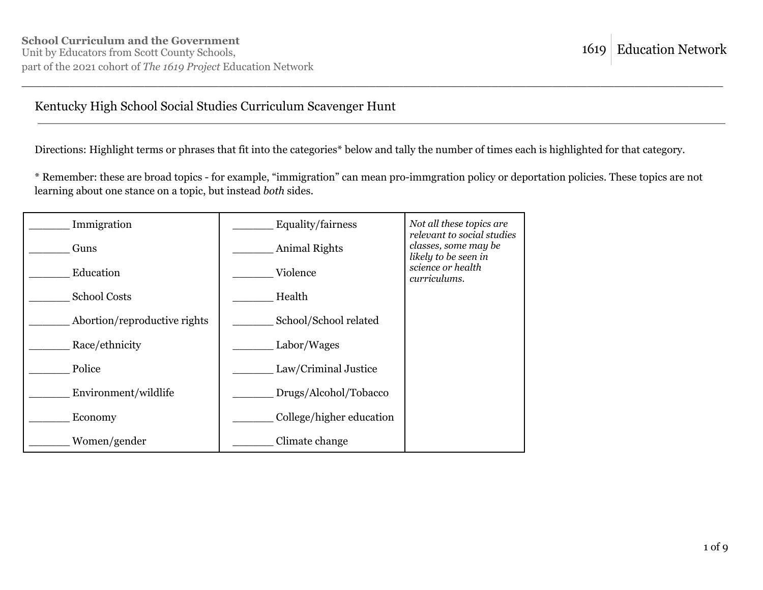#### Kentucky High School Social Studies Curriculum Scavenger Hunt

Directions: Highlight terms or phrases that fit into the categories\* below and tally the number of times each is highlighted for that category.

\* Remember: these are broad topics - for example, "immigration" can mean pro-immgration policy or deportation policies. These topics are not learning about one stance on a topic, but instead *both* sides.

| Immigration                  | Equality/fairness        | Not all these topics are<br>relevant to social studies |
|------------------------------|--------------------------|--------------------------------------------------------|
| Guns                         | Animal Rights            | classes, some may be<br>likely to be seen in           |
| Education                    | Violence                 | science or health<br>curriculums.                      |
| <b>School Costs</b>          | Health                   |                                                        |
| Abortion/reproductive rights | School/School related    |                                                        |
| Race/ethnicity               | Labor/Wages              |                                                        |
| Police                       | Law/Criminal Justice     |                                                        |
| Environment/wildlife         | Drugs/Alcohol/Tobacco    |                                                        |
| Economy                      | College/higher education |                                                        |
| Women/gender                 | Climate change           |                                                        |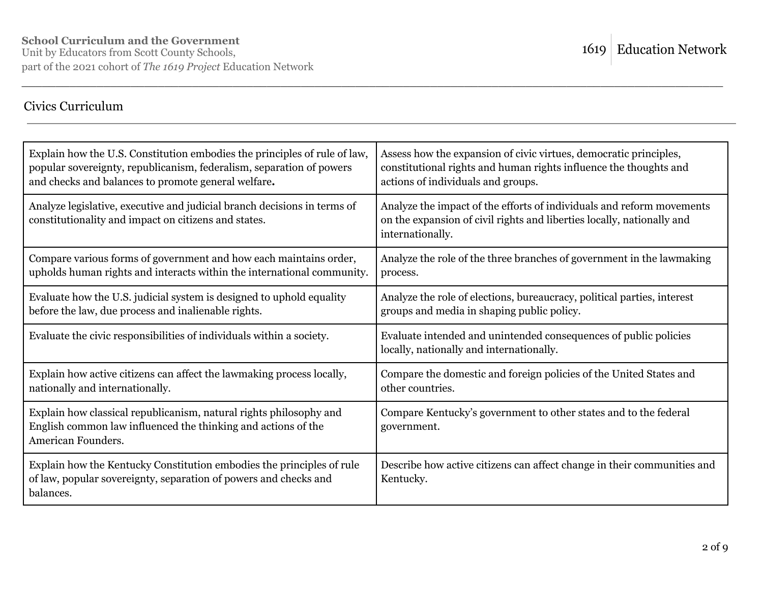### Civics Curriculum

| Explain how the U.S. Constitution embodies the principles of rule of law,<br>popular sovereignty, republicanism, federalism, separation of powers<br>and checks and balances to promote general welfare. | Assess how the expansion of civic virtues, democratic principles,<br>constitutional rights and human rights influence the thoughts and<br>actions of individuals and groups. |
|----------------------------------------------------------------------------------------------------------------------------------------------------------------------------------------------------------|------------------------------------------------------------------------------------------------------------------------------------------------------------------------------|
| Analyze legislative, executive and judicial branch decisions in terms of<br>constitutionality and impact on citizens and states.                                                                         | Analyze the impact of the efforts of individuals and reform movements<br>on the expansion of civil rights and liberties locally, nationally and<br>internationally.          |
| Compare various forms of government and how each maintains order,<br>upholds human rights and interacts within the international community.                                                              | Analyze the role of the three branches of government in the lawmaking<br>process.                                                                                            |
| Evaluate how the U.S. judicial system is designed to uphold equality<br>before the law, due process and inalienable rights.                                                                              | Analyze the role of elections, bureaucracy, political parties, interest<br>groups and media in shaping public policy.                                                        |
| Evaluate the civic responsibilities of individuals within a society.                                                                                                                                     | Evaluate intended and unintended consequences of public policies<br>locally, nationally and internationally.                                                                 |
| Explain how active citizens can affect the lawmaking process locally,<br>nationally and internationally.                                                                                                 | Compare the domestic and foreign policies of the United States and<br>other countries.                                                                                       |
| Explain how classical republicanism, natural rights philosophy and<br>English common law influenced the thinking and actions of the<br>American Founders.                                                | Compare Kentucky's government to other states and to the federal<br>government.                                                                                              |
| Explain how the Kentucky Constitution embodies the principles of rule<br>of law, popular sovereignty, separation of powers and checks and<br>balances.                                                   | Describe how active citizens can affect change in their communities and<br>Kentucky.                                                                                         |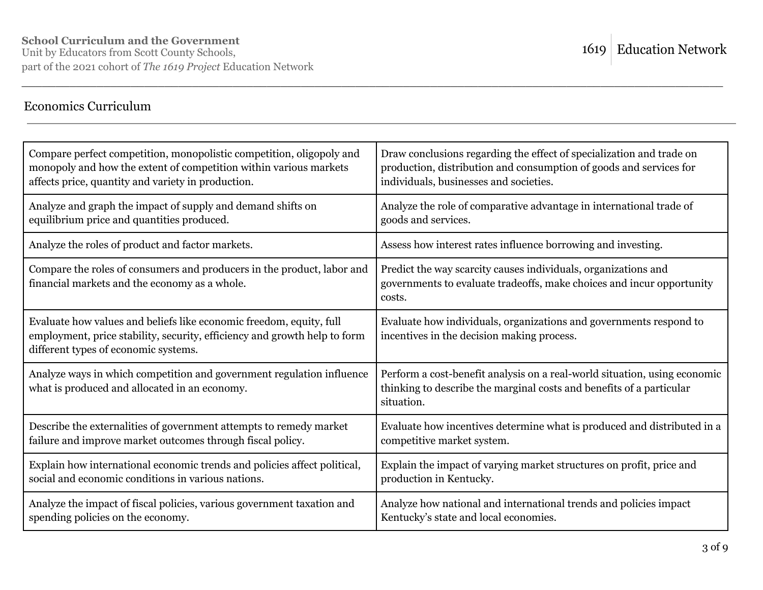### Economics Curriculum

| Compare perfect competition, monopolistic competition, oligopoly and                                                                                                                     | Draw conclusions regarding the effect of specialization and trade on                                                                                            |
|------------------------------------------------------------------------------------------------------------------------------------------------------------------------------------------|-----------------------------------------------------------------------------------------------------------------------------------------------------------------|
| monopoly and how the extent of competition within various markets                                                                                                                        | production, distribution and consumption of goods and services for                                                                                              |
| affects price, quantity and variety in production.                                                                                                                                       | individuals, businesses and societies.                                                                                                                          |
| Analyze and graph the impact of supply and demand shifts on                                                                                                                              | Analyze the role of comparative advantage in international trade of                                                                                             |
| equilibrium price and quantities produced.                                                                                                                                               | goods and services.                                                                                                                                             |
| Analyze the roles of product and factor markets.                                                                                                                                         | Assess how interest rates influence borrowing and investing.                                                                                                    |
| Compare the roles of consumers and producers in the product, labor and<br>financial markets and the economy as a whole.                                                                  | Predict the way scarcity causes individuals, organizations and<br>governments to evaluate tradeoffs, make choices and incur opportunity<br>costs.               |
| Evaluate how values and beliefs like economic freedom, equity, full<br>employment, price stability, security, efficiency and growth help to form<br>different types of economic systems. | Evaluate how individuals, organizations and governments respond to<br>incentives in the decision making process.                                                |
| Analyze ways in which competition and government regulation influence<br>what is produced and allocated in an economy.                                                                   | Perform a cost-benefit analysis on a real-world situation, using economic<br>thinking to describe the marginal costs and benefits of a particular<br>situation. |
| Describe the externalities of government attempts to remedy market                                                                                                                       | Evaluate how incentives determine what is produced and distributed in a                                                                                         |
| failure and improve market outcomes through fiscal policy.                                                                                                                               | competitive market system.                                                                                                                                      |
| Explain how international economic trends and policies affect political,                                                                                                                 | Explain the impact of varying market structures on profit, price and                                                                                            |
| social and economic conditions in various nations.                                                                                                                                       | production in Kentucky.                                                                                                                                         |
| Analyze the impact of fiscal policies, various government taxation and                                                                                                                   | Analyze how national and international trends and policies impact                                                                                               |
| spending policies on the economy.                                                                                                                                                        | Kentucky's state and local economies.                                                                                                                           |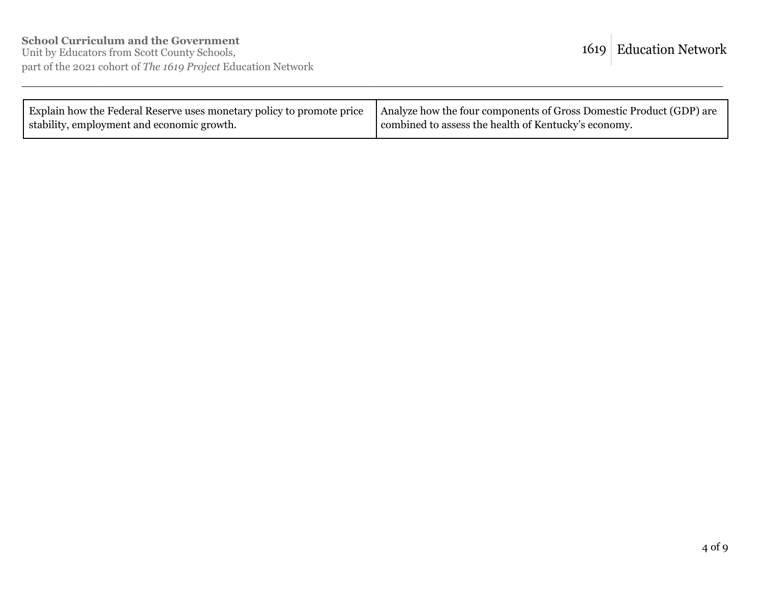| Explain how the Federal Reserve uses monetary policy to promote price   Analyze how the four components of Gross Domestic Product (GDP) are |                                                      |
|---------------------------------------------------------------------------------------------------------------------------------------------|------------------------------------------------------|
| stability, employment and economic growth.                                                                                                  | combined to assess the health of Kentucky's economy. |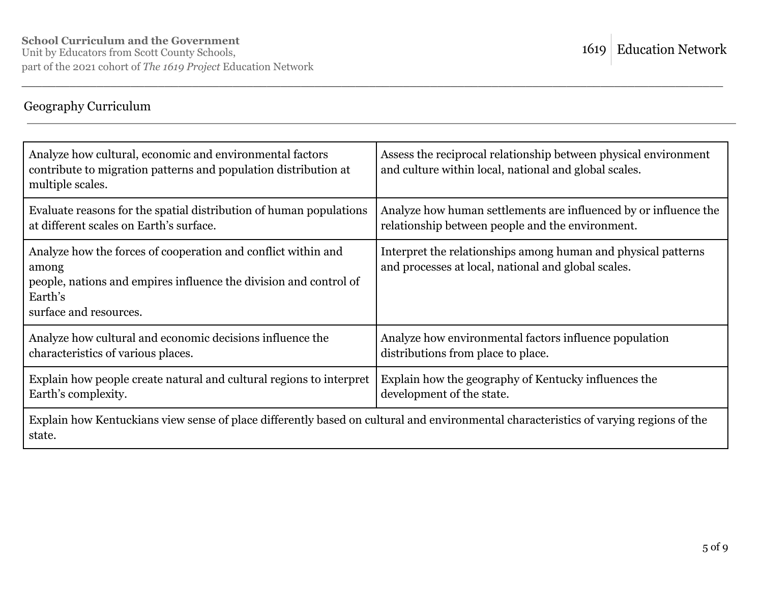# Geography Curriculum

| Analyze how cultural, economic and environmental factors<br>contribute to migration patterns and population distribution at<br>multiple scales.                                  | Assess the reciprocal relationship between physical environment<br>and culture within local, national and global scales. |
|----------------------------------------------------------------------------------------------------------------------------------------------------------------------------------|--------------------------------------------------------------------------------------------------------------------------|
| Evaluate reasons for the spatial distribution of human populations                                                                                                               | Analyze how human settlements are influenced by or influence the                                                         |
| at different scales on Earth's surface.                                                                                                                                          | relationship between people and the environment.                                                                         |
| Analyze how the forces of cooperation and conflict within and<br>among<br>people, nations and empires influence the division and control of<br>Earth's<br>surface and resources. | Interpret the relationships among human and physical patterns<br>and processes at local, national and global scales.     |
| Analyze how cultural and economic decisions influence the                                                                                                                        | Analyze how environmental factors influence population                                                                   |
| characteristics of various places.                                                                                                                                               | distributions from place to place.                                                                                       |
| Explain how people create natural and cultural regions to interpret                                                                                                              | Explain how the geography of Kentucky influences the                                                                     |
| Earth's complexity.                                                                                                                                                              | development of the state.                                                                                                |
| Explain how Kentuckians view sense of place differently based on cultural and environmental characteristics of varying regions of the<br>state.                                  |                                                                                                                          |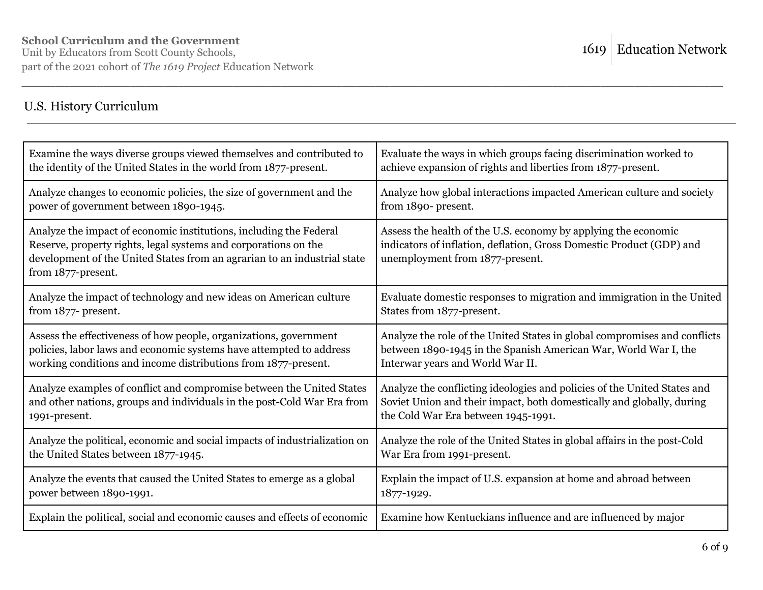## U.S. History Curriculum

| Examine the ways diverse groups viewed themselves and contributed to                                                                                                                                                                    | Evaluate the ways in which groups facing discrimination worked to                                                                                                         |
|-----------------------------------------------------------------------------------------------------------------------------------------------------------------------------------------------------------------------------------------|---------------------------------------------------------------------------------------------------------------------------------------------------------------------------|
| the identity of the United States in the world from 1877-present.                                                                                                                                                                       | achieve expansion of rights and liberties from 1877-present.                                                                                                              |
| Analyze changes to economic policies, the size of government and the                                                                                                                                                                    | Analyze how global interactions impacted American culture and society                                                                                                     |
| power of government between 1890-1945.                                                                                                                                                                                                  | from 1890- present.                                                                                                                                                       |
| Analyze the impact of economic institutions, including the Federal<br>Reserve, property rights, legal systems and corporations on the<br>development of the United States from an agrarian to an industrial state<br>from 1877-present. | Assess the health of the U.S. economy by applying the economic<br>indicators of inflation, deflation, Gross Domestic Product (GDP) and<br>unemployment from 1877-present. |
| Analyze the impact of technology and new ideas on American culture                                                                                                                                                                      | Evaluate domestic responses to migration and immigration in the United                                                                                                    |
| from 1877- present.                                                                                                                                                                                                                     | States from 1877-present.                                                                                                                                                 |
| Assess the effectiveness of how people, organizations, government                                                                                                                                                                       | Analyze the role of the United States in global compromises and conflicts                                                                                                 |
| policies, labor laws and economic systems have attempted to address                                                                                                                                                                     | between 1890-1945 in the Spanish American War, World War I, the                                                                                                           |
| working conditions and income distributions from 1877-present.                                                                                                                                                                          | Interwar years and World War II.                                                                                                                                          |
| Analyze examples of conflict and compromise between the United States                                                                                                                                                                   | Analyze the conflicting ideologies and policies of the United States and                                                                                                  |
| and other nations, groups and individuals in the post-Cold War Era from                                                                                                                                                                 | Soviet Union and their impact, both domestically and globally, during                                                                                                     |
| 1991-present.                                                                                                                                                                                                                           | the Cold War Era between 1945-1991.                                                                                                                                       |
| Analyze the political, economic and social impacts of industrialization on                                                                                                                                                              | Analyze the role of the United States in global affairs in the post-Cold                                                                                                  |
| the United States between 1877-1945.                                                                                                                                                                                                    | War Era from 1991-present.                                                                                                                                                |
| Analyze the events that caused the United States to emerge as a global                                                                                                                                                                  | Explain the impact of U.S. expansion at home and abroad between                                                                                                           |
| power between 1890-1991.                                                                                                                                                                                                                | 1877-1929.                                                                                                                                                                |
| Explain the political, social and economic causes and effects of economic                                                                                                                                                               | Examine how Kentuckians influence and are influenced by major                                                                                                             |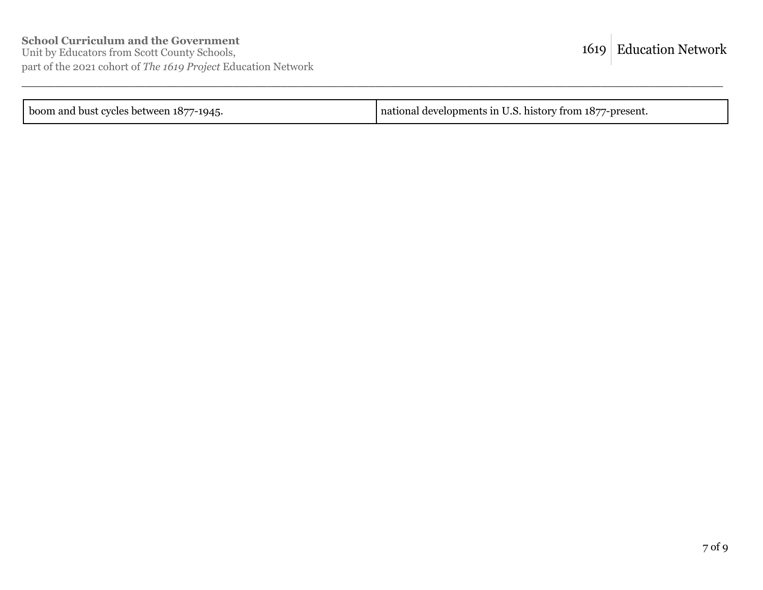| national developments in U.S. history from 1877-present. |
|----------------------------------------------------------|
|                                                          |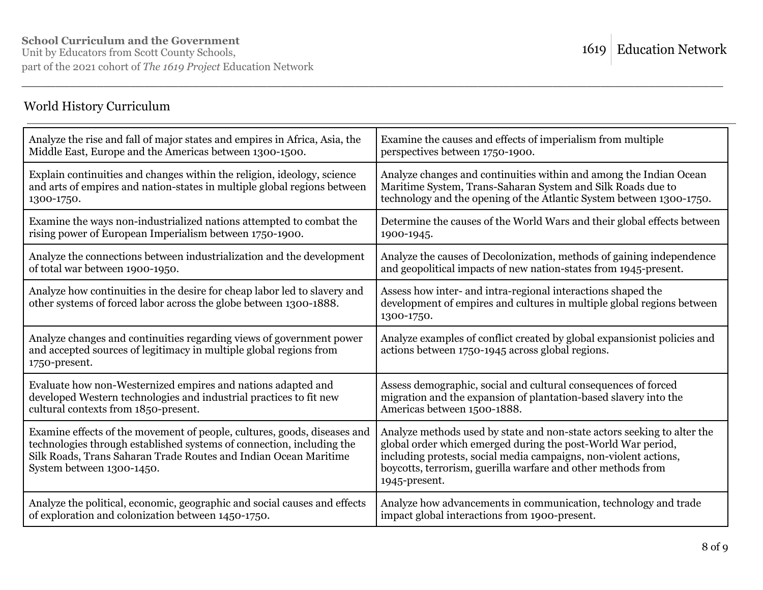## World History Curriculum

| Analyze the rise and fall of major states and empires in Africa, Asia, the                                                                                                                                                                         | Examine the causes and effects of imperialism from multiple                                                                                                                                                                                                                                  |
|----------------------------------------------------------------------------------------------------------------------------------------------------------------------------------------------------------------------------------------------------|----------------------------------------------------------------------------------------------------------------------------------------------------------------------------------------------------------------------------------------------------------------------------------------------|
| Middle East, Europe and the Americas between 1300-1500.                                                                                                                                                                                            | perspectives between 1750-1900.                                                                                                                                                                                                                                                              |
| Explain continuities and changes within the religion, ideology, science                                                                                                                                                                            | Analyze changes and continuities within and among the Indian Ocean                                                                                                                                                                                                                           |
| and arts of empires and nation-states in multiple global regions between                                                                                                                                                                           | Maritime System, Trans-Saharan System and Silk Roads due to                                                                                                                                                                                                                                  |
| 1300-1750.                                                                                                                                                                                                                                         | technology and the opening of the Atlantic System between 1300-1750.                                                                                                                                                                                                                         |
| Examine the ways non-industrialized nations attempted to combat the                                                                                                                                                                                | Determine the causes of the World Wars and their global effects between                                                                                                                                                                                                                      |
| rising power of European Imperialism between 1750-1900.                                                                                                                                                                                            | 1900-1945.                                                                                                                                                                                                                                                                                   |
| Analyze the connections between industrialization and the development                                                                                                                                                                              | Analyze the causes of Decolonization, methods of gaining independence                                                                                                                                                                                                                        |
| of total war between 1900-1950.                                                                                                                                                                                                                    | and geopolitical impacts of new nation-states from 1945-present.                                                                                                                                                                                                                             |
| Analyze how continuities in the desire for cheap labor led to slavery and<br>other systems of forced labor across the globe between 1300-1888.                                                                                                     | Assess how inter- and intra-regional interactions shaped the<br>development of empires and cultures in multiple global regions between<br>1300-1750.                                                                                                                                         |
| Analyze changes and continuities regarding views of government power<br>and accepted sources of legitimacy in multiple global regions from<br>1750-present.                                                                                        | Analyze examples of conflict created by global expansionist policies and<br>actions between 1750-1945 across global regions.                                                                                                                                                                 |
| Evaluate how non-Westernized empires and nations adapted and                                                                                                                                                                                       | Assess demographic, social and cultural consequences of forced                                                                                                                                                                                                                               |
| developed Western technologies and industrial practices to fit new                                                                                                                                                                                 | migration and the expansion of plantation-based slavery into the                                                                                                                                                                                                                             |
| cultural contexts from 1850-present.                                                                                                                                                                                                               | Americas between 1500-1888.                                                                                                                                                                                                                                                                  |
| Examine effects of the movement of people, cultures, goods, diseases and<br>technologies through established systems of connection, including the<br>Silk Roads, Trans Saharan Trade Routes and Indian Ocean Maritime<br>System between 1300-1450. | Analyze methods used by state and non-state actors seeking to alter the<br>global order which emerged during the post-World War period,<br>including protests, social media campaigns, non-violent actions,<br>boycotts, terrorism, guerilla warfare and other methods from<br>1945-present. |
| Analyze the political, economic, geographic and social causes and effects                                                                                                                                                                          | Analyze how advancements in communication, technology and trade                                                                                                                                                                                                                              |
| of exploration and colonization between 1450-1750.                                                                                                                                                                                                 | impact global interactions from 1900-present.                                                                                                                                                                                                                                                |